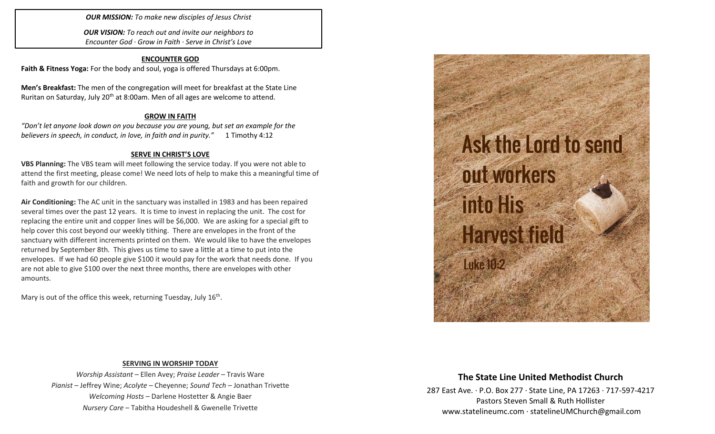*OUR MISSION: To make new disciples of Jesus Christ*

*OUR VISION: To reach out and invite our neighbors to Encounter God · Grow in Faith · Serve in Christ's Love*

### **ENCOUNTER GOD**

**Faith & Fitness Yoga:** For the body and soul, yoga is offered Thursdays at 6:00pm.

**Men's Breakfast:** The men of the congregation will meet for breakfast at the State Line Ruritan on Saturday, July 20<sup>th</sup> at 8:00am. Men of all ages are welcome to attend.

### **GROW IN FAITH**

*"Don't let anyone look down on you because you are young, but set an example for the believers in speech, in conduct, in love, in faith and in purity."* 1 Timothy 4:12

## **SERVE IN CHRIST'S LOVE**

**VBS Planning:** The VBS team will meet following the service today. If you were not able to attend the first meeting, please come! We need lots of help to make this a meaningful time of faith and growth for our children.

**Air Conditioning:** The AC unit in the sanctuary was installed in 1983 and has been repaired several times over the past 12 years. It is time to invest in replacing the unit. The cost for replacing the entire unit and copper lines will be \$6,000. We are asking for a special gift to help cover this cost beyond our weekly tithing. There are envelopes in the front of the sanctuary with different increments printed on them. We would like to have the envelopes returned by September 8th. This gives us time to save a little at a time to put into the envelopes. If we had 60 people give \$100 it would pay for the work that needs done. If you are not able to give \$100 over the next three months, there are envelopes with other amounts.

Mary is out of the office this week, returning Tuesday, July 16<sup>th</sup>.



## **SERVING IN WORSHIP TODAY**

*Worship Assistant* – Ellen Avey; *Praise Leader* – Travis Ware *Pianist* – Jeffrey Wine; *Acolyte* – Cheyenne; *Sound Tech* – Jonathan Trivette *Welcoming Hosts* – Darlene Hostetter & Angie Baer *Nursery Care* – Tabitha Houdeshell & Gwenelle Trivette

# **The State Line United Methodist Church**

287 East Ave. · P.O. Box 277 · State Line, PA 17263 · 717-597-4217 Pastors Steven Small & Ruth Hollister [www.statelineumc.com](http://www.statelineumc.com/) · statelineUMChurch@gmail.com